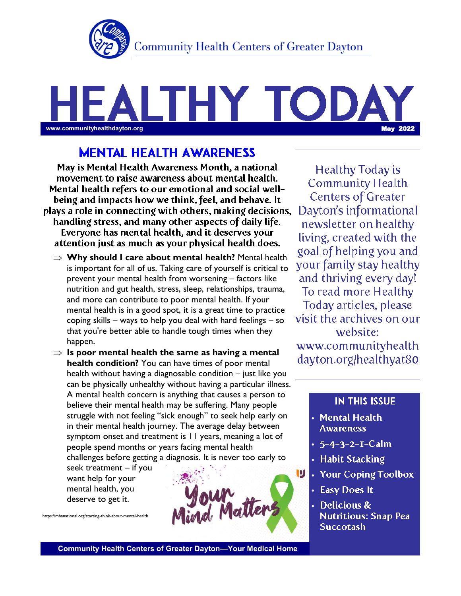

# THY TOD www.communityhealthdayton.org <mark>May 2022</mark>

# **MENTAL HEALTH AWARENESS**

May is Mental Health Awareness Month, a national movement to raise awareness about mental health. Mental health refers to our emotional and social wellbeing and impacts how we think, feel, and behave. It plays a role in connecting with others, making decisions, handling stress, and many other aspects of daily life. Everyone has mental health, and it deserves your attention just as much as your physical health does.

- **Why should I care about mental health?** Mental health is important for all of us. Taking care of yourself is critical to prevent your mental health from worsening – factors like nutrition and gut health, stress, sleep, relationships, trauma, and more can contribute to poor mental health. If your mental health is in a good spot, it is a great time to practice coping skills – ways to help you deal with hard feelings – so that you're better able to handle tough times when they happen.
- $\Rightarrow$  **Is poor mental health the same as having a mental health condition?** You can have times of poor mental health without having a diagnosable condition – just like you can be physically unhealthy without having a particular illness. A mental health concern is anything that causes a person to believe their mental health may be suffering. Many people struggle with not feeling "sick enough" to seek help early on in their mental health journey. The average delay between symptom onset and treatment is 11 years, meaning a lot of people spend months or years facing mental health challenges before getting a diagnosis. It is never too early to

seek treatment – if you want help for your mental health, you deserve to get it.

https://mhanational.org/starting-think-about-mental-health



Healthy Today is **Community Health Centers of Greater** Dayton's informational newsletter on healthy living, created with the goal of helping you and your family stay healthy and thriving every day! To read more Healthy Today articles, please visit the archives on our website: www.communityhealth dayton.org/healthyat80

#### **IN THIS ISSUE**

- Mental Health **Awareness**
- $5 4 3 2 1 Calm$ •
- **Habit Stacking** •
- **Your Coping Toolbox** •
- **Easy Does It** •
- Delicious & • **Nutritious: Snap Pea Succotash**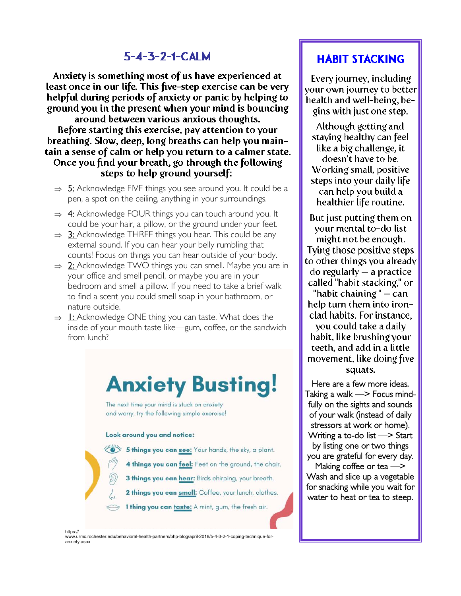# $5 - 4 - 3 - 2 - 1 - CALM$

Anxiety is something most of us have experienced at least once in our life. This five-step exercise can be very helpful during periods of anxiety or panic by helping to ground you in the present when your mind is bouncing around between various anxious thoughts. Before starting this exercise, pay attention to your breathing. Slow, deep, long breaths can help you maintain a sense of calm or help you return to a calmer state. Once you find your breath, go through the following steps to help ground yourself:

- $\Rightarrow$  5: Acknowledge FIVE things you see around you. It could be a pen, a spot on the ceiling, anything in your surroundings.
- $\Rightarrow$  4: Acknowledge FOUR things you can touch around you. It could be your hair, a pillow, or the ground under your feet.
- $\Rightarrow$  3: Acknowledge THREE things you hear. This could be any external sound. If you can hear your belly rumbling that counts! Focus on things you can hear outside of your body.
- $\Rightarrow$  2: Acknowledge TWO things you can smell. Maybe you are in your office and smell pencil, or maybe you are in your bedroom and smell a pillow. If you need to take a brief walk to find a scent you could smell soap in your bathroom, or nature outside.
- $\Rightarrow$  1: Acknowledge ONE thing you can taste. What does the inside of your mouth taste like—gum, coffee, or the sandwich from lunch?

# **Anxiety Busting!**

The next time your mind is stuck on anxiety and worry, try the following simple exercise!

#### Look around you and notice:

- 5 things you can see: Your hands, the sky, a plant.
	- 4 things you can feel: Feet on the ground, the chair.
	- 3 things you can hear: Birds chirping, your breath.
	- 2 things you can smell: Coffee, your lunch, clothes.
	- 1 thing you can taste: A mint, gum, the fresh air.

# **HABIT STACKING**

Every journey, including your own journey to better health and well-being, begins with just one step.

Although getting and staying healthy can feel like a big challenge, it doesn't have to be. Working small, positive steps into your daily life can help you build a healthier life routine.

But just putting them on your mental to-do list might not be enough. Tying those positive steps to other things you already  $do$  regularly  $-$  a practice called "habit stacking," or "habit chaining"  $-$  can help turn them into ironclad habits. For instance,

you could take a daily habit, like brushing your teeth, and add in a little movement, like doing five squats.

Here are a few more ideas. Taking a walk —> Focus mindfully on the sights and sounds of your walk (instead of daily stressors at work or home). Writing a to-do list —> Start by listing one or two things you are grateful for every day.

Making coffee or tea —> Wash and slice up a vegetable for snacking while you wait for water to heat or tea to steep.

https://

www.urmc.rochester.edu/behavioral-health-partners/bhp-blog/april-2018/5-4-3-2-1-coping-technique-foranxiety.aspx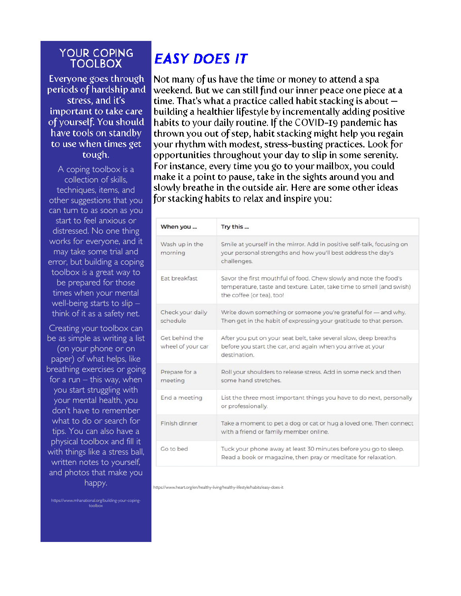### **YOUR COPING TOOLBOX**

Everyone goes through periods of hardship and stress, and it's important to take care of yourself. You should have tools on standby to use when times get tough.

A coping toolbox is a collection of skills, techniques, items, and other suggestions that you can turn to as soon as you start to feel anxious or distressed. No one thing works for everyone, and it may take some trial and error, but building a coping toolbox is a great way to be prepared for those times when your mental well-being starts to slip – think of it as a safety net.

Creating your toolbox can be as simple as writing a list (on your phone or on paper) of what helps, like breathing exercises or going for a run  $-$  this way, when you start struggling with your mental health, you don't have to remember what to do or search for tips. You can also have a physical toolbox and fill it with things like a stress ball, written notes to yourself, and photos that make you happy.

https://www.mhanational.org/building-your-copingtoolbox

# **FASY DOFS IT**

Not many of us have the time or money to attend a spa weekend. But we can still find our inner peace one piece at a time. That's what a practice called habit stacking is about  $$ building a healthier lifestyle by incrementally adding positive habits to your daily routine. If the COVID-19 pandemic has thrown you out of step, habit stacking might help you regain your rhythm with modest, stress-busting practices. Look for opportunities throughout your day to slip in some serenity. For instance, every time you go to your mailbox, you could make it a point to pause, take in the sights around you and slowly breathe in the outside air. Here are some other ideas for stacking habits to relax and inspire you:

| When you                            | Try this                                                                                                                                                                |
|-------------------------------------|-------------------------------------------------------------------------------------------------------------------------------------------------------------------------|
| Wash up in the<br>morning           | Smile at yourself in the mirror. Add in positive self-talk, focusing on<br>your personal strengths and how you'll best address the day's<br>challenges.                 |
| Fat breakfast                       | Savor the first mouthful of food. Chew slowly and note the food's<br>temperature, taste and texture. Later, take time to smell (and swish)<br>the coffee (or tea), too! |
| Check your daily<br>schedule        | Write down something or someone you're grateful for - and why.<br>Then get in the habit of expressing your gratitude to that person.                                    |
| Get behind the<br>wheel of your car | After you put on your seat belt, take several slow, deep breaths<br>before you start the car, and again when you arrive at your<br>destination.                         |
| Prepare for a<br>meeting            | Roll your shoulders to release stress. Add in some neck and then<br>some hand stretches.                                                                                |
| End a meeting                       | List the three most important things you have to do next, personally<br>or professionally.                                                                              |
| Finish dinner                       | Take a moment to pet a dog or cat or hug a loved one. Then connect<br>with a friend or family member online.                                                            |
| Go to bed                           | Tuck your phone away at least 30 minutes before you go to sleep.<br>Read a book or magazine, then pray or meditate for relaxation.                                      |

https://www.heart.org/en/healthy-living/healthy-lifestyle/habits/easy-does-it